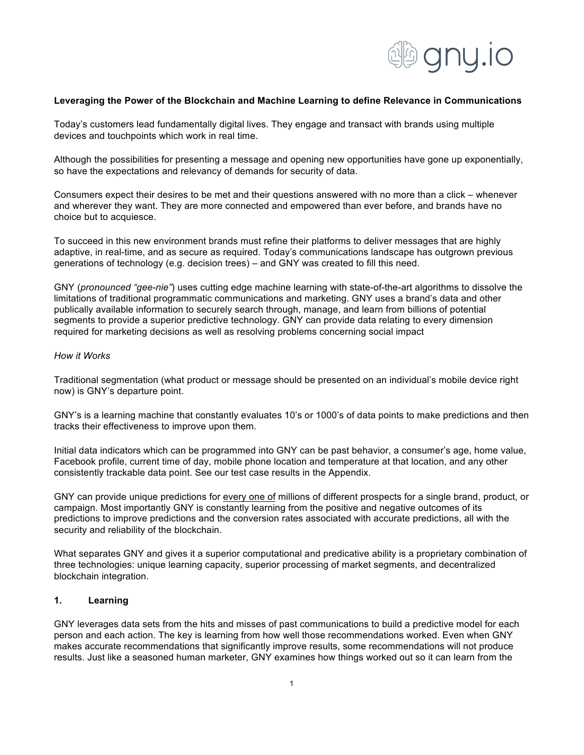

### **Leveraging the Power of the Blockchain and Machine Learning to define Relevance in Communications**

Today's customers lead fundamentally digital lives. They engage and transact with brands using multiple devices and touchpoints which work in real time.

Although the possibilities for presenting a message and opening new opportunities have gone up exponentially, so have the expectations and relevancy of demands for security of data.

Consumers expect their desires to be met and their questions answered with no more than a click – whenever and wherever they want. They are more connected and empowered than ever before, and brands have no choice but to acquiesce.

To succeed in this new environment brands must refine their platforms to deliver messages that are highly adaptive, in real-time, and as secure as required. Today's communications landscape has outgrown previous generations of technology (e.g. decision trees) – and GNY was created to fill this need.

GNY (*pronounced "gee-nie"*) uses cutting edge machine learning with state-of-the-art algorithms to dissolve the limitations of traditional programmatic communications and marketing. GNY uses a brand's data and other publically available information to securely search through, manage, and learn from billions of potential segments to provide a superior predictive technology. GNY can provide data relating to every dimension required for marketing decisions as well as resolving problems concerning social impact

### *How it Works*

Traditional segmentation (what product or message should be presented on an individual's mobile device right now) is GNY's departure point.

GNY's is a learning machine that constantly evaluates 10's or 1000's of data points to make predictions and then tracks their effectiveness to improve upon them.

Initial data indicators which can be programmed into GNY can be past behavior, a consumer's age, home value, Facebook profile, current time of day, mobile phone location and temperature at that location, and any other consistently trackable data point. See our test case results in the Appendix.

GNY can provide unique predictions for every one of millions of different prospects for a single brand, product, or campaign. Most importantly GNY is constantly learning from the positive and negative outcomes of its predictions to improve predictions and the conversion rates associated with accurate predictions, all with the security and reliability of the blockchain.

What separates GNY and gives it a superior computational and predicative ability is a proprietary combination of three technologies: unique learning capacity, superior processing of market segments, and decentralized blockchain integration.

# **1. Learning**

GNY leverages data sets from the hits and misses of past communications to build a predictive model for each person and each action. The key is learning from how well those recommendations worked. Even when GNY makes accurate recommendations that significantly improve results, some recommendations will not produce results. Just like a seasoned human marketer, GNY examines how things worked out so it can learn from the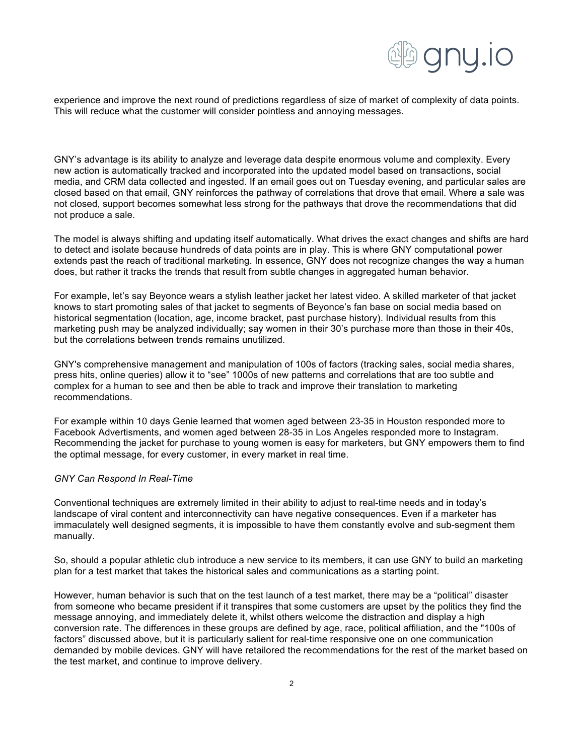

experience and improve the next round of predictions regardless of size of market of complexity of data points. This will reduce what the customer will consider pointless and annoying messages.

GNY's advantage is its ability to analyze and leverage data despite enormous volume and complexity. Every new action is automatically tracked and incorporated into the updated model based on transactions, social media, and CRM data collected and ingested. If an email goes out on Tuesday evening, and particular sales are closed based on that email, GNY reinforces the pathway of correlations that drove that email. Where a sale was not closed, support becomes somewhat less strong for the pathways that drove the recommendations that did not produce a sale.

The model is always shifting and updating itself automatically. What drives the exact changes and shifts are hard to detect and isolate because hundreds of data points are in play. This is where GNY computational power extends past the reach of traditional marketing. In essence, GNY does not recognize changes the way a human does, but rather it tracks the trends that result from subtle changes in aggregated human behavior.

For example, let's say Beyonce wears a stylish leather jacket her latest video. A skilled marketer of that jacket knows to start promoting sales of that jacket to segments of Beyonce's fan base on social media based on historical segmentation (location, age, income bracket, past purchase history). Individual results from this marketing push may be analyzed individually; say women in their 30's purchase more than those in their 40s, but the correlations between trends remains unutilized.

GNY's comprehensive management and manipulation of 100s of factors (tracking sales, social media shares, press hits, online queries) allow it to "see" 1000s of new patterns and correlations that are too subtle and complex for a human to see and then be able to track and improve their translation to marketing recommendations.

For example within 10 days Genie learned that women aged between 23-35 in Houston responded more to Facebook Advertisments, and women aged between 28-35 in Los Angeles responded more to Instagram. Recommending the jacket for purchase to young women is easy for marketers, but GNY empowers them to find the optimal message, for every customer, in every market in real time.

### *GNY Can Respond In Real-Time*

Conventional techniques are extremely limited in their ability to adjust to real-time needs and in today's landscape of viral content and interconnectivity can have negative consequences. Even if a marketer has immaculately well designed segments, it is impossible to have them constantly evolve and sub-segment them manually.

So, should a popular athletic club introduce a new service to its members, it can use GNY to build an marketing plan for a test market that takes the historical sales and communications as a starting point.

However, human behavior is such that on the test launch of a test market, there may be a "political" disaster from someone who became president if it transpires that some customers are upset by the politics they find the message annoying, and immediately delete it, whilst others welcome the distraction and display a high conversion rate. The differences in these groups are defined by age, race, political affiliation, and the "100s of factors" discussed above, but it is particularly salient for real-time responsive one on one communication demanded by mobile devices. GNY will have retailored the recommendations for the rest of the market based on the test market, and continue to improve delivery.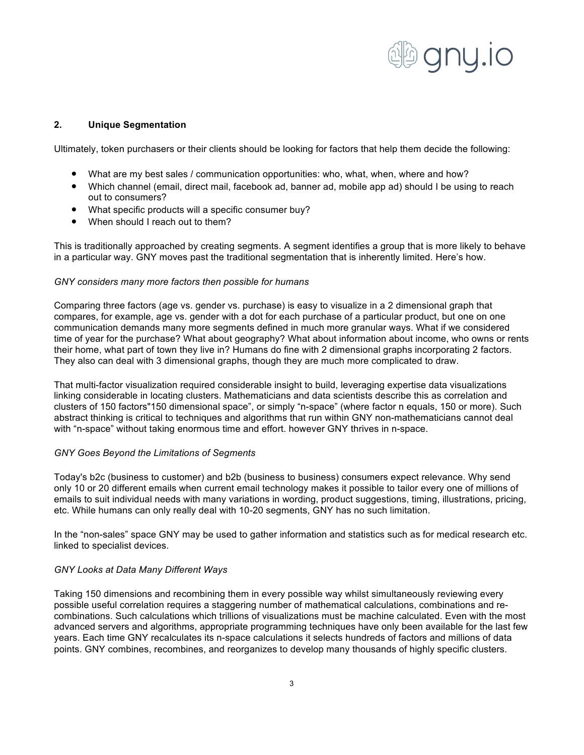

# **2. Unique Segmentation**

Ultimately, token purchasers or their clients should be looking for factors that help them decide the following:

- What are my best sales / communication opportunities: who, what, when, where and how?
- Which channel (email, direct mail, facebook ad, banner ad, mobile app ad) should I be using to reach out to consumers?
- What specific products will a specific consumer buy?
- When should I reach out to them?

This is traditionally approached by creating segments. A segment identifies a group that is more likely to behave in a particular way. GNY moves past the traditional segmentation that is inherently limited. Here's how.

### *GNY considers many more factors then possible for humans*

Comparing three factors (age vs. gender vs. purchase) is easy to visualize in a 2 dimensional graph that compares, for example, age vs. gender with a dot for each purchase of a particular product, but one on one communication demands many more segments defined in much more granular ways. What if we considered time of year for the purchase? What about geography? What about information about income, who owns or rents their home, what part of town they live in? Humans do fine with 2 dimensional graphs incorporating 2 factors. They also can deal with 3 dimensional graphs, though they are much more complicated to draw.

That multi-factor visualization required considerable insight to build, leveraging expertise data visualizations linking considerable in locating clusters. Mathematicians and data scientists describe this as correlation and clusters of 150 factors"150 dimensional space", or simply "n-space" (where factor n equals, 150 or more). Such abstract thinking is critical to techniques and algorithms that run within GNY non-mathematicians cannot deal with "n-space" without taking enormous time and effort. however GNY thrives in n-space.

### *GNY Goes Beyond the Limitations of Segments*

Today's b2c (business to customer) and b2b (business to business) consumers expect relevance. Why send only 10 or 20 different emails when current email technology makes it possible to tailor every one of millions of emails to suit individual needs with many variations in wording, product suggestions, timing, illustrations, pricing, etc. While humans can only really deal with 10-20 segments, GNY has no such limitation.

In the "non-sales" space GNY may be used to gather information and statistics such as for medical research etc. linked to specialist devices.

### *GNY Looks at Data Many Different Ways*

Taking 150 dimensions and recombining them in every possible way whilst simultaneously reviewing every possible useful correlation requires a staggering number of mathematical calculations, combinations and recombinations. Such calculations which trillions of visualizations must be machine calculated. Even with the most advanced servers and algorithms, appropriate programming techniques have only been available for the last few years. Each time GNY recalculates its n-space calculations it selects hundreds of factors and millions of data points. GNY combines, recombines, and reorganizes to develop many thousands of highly specific clusters.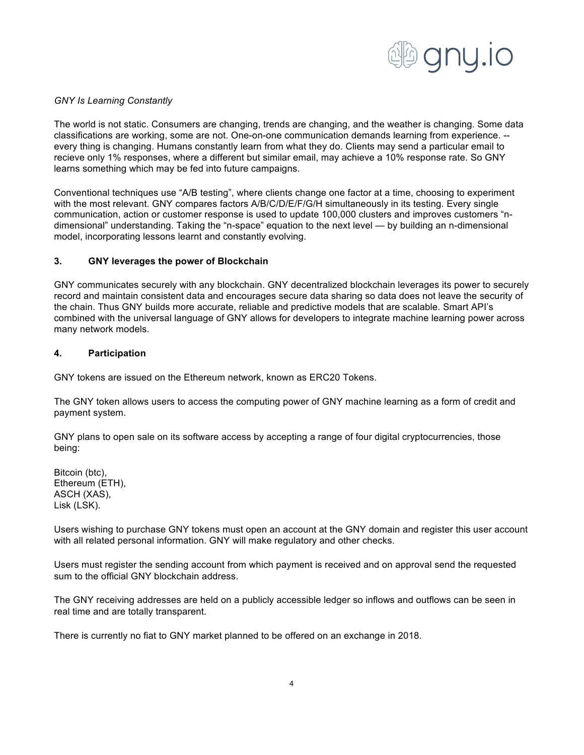

## *GNY Is Learning Constantly*

The world is not static. Consumers are changing, trends are changing, and the weather is changing. Some data classifications are working, some are not. One-on-one communication demands learning from experience. - every thing is changing. Humans constantly learn from what they do. Clients may send a particular email to recieve only 1% responses, where a different but similar email, may achieve a 10% response rate. So GNY learns something which may be fed into future campaigns.

Conventional techniques use "A/B testing", where clients change one factor at a time, choosing to experiment with the most relevant. GNY compares factors A/B/C/D/E/F/G/H simultaneously in its testing. Every single communication, action or customer response is used to update 100,000 clusters and improves customers "ndimensional" understanding. Taking the "n-space" equation to the next level — by building an n-dimensional model, incorporating lessons learnt and constantly evolving.

## **3. GNY leverages the power of Blockchain**

GNY communicates securely with any blockchain. GNY decentralized blockchain leverages its power to securely record and maintain consistent data and encourages secure data sharing so data does not leave the security of the chain. Thus GNY builds more accurate, reliable and predictive models that are scalable. Smart API's combined with the universal language of GNY allows for developers to integrate machine learning power across many network models.

## **4. Participation**

GNY tokens are issued on the Ethereum network, known as ERC20 Tokens.

The GNY token allows users to access the computing power of GNY machine learning as a form of credit and payment system.

GNY plans to open sale on its software access by accepting a range of four digital cryptocurrencies, those being:

Bitcoin (btc), Ethereum (ETH), ASCH (XAS), Lisk (LSK).

Users wishing to purchase GNY tokens must open an account at the GNY domain and register this user account with all related personal information. GNY will make regulatory and other checks.

Users must register the sending account from which payment is received and on approval send the requested sum to the official GNY blockchain address.

The GNY receiving addresses are held on a publicly accessible ledger so inflows and outflows can be seen in real time and are totally transparent.

There is currently no fiat to GNY market planned to be offered on an exchange in 2018.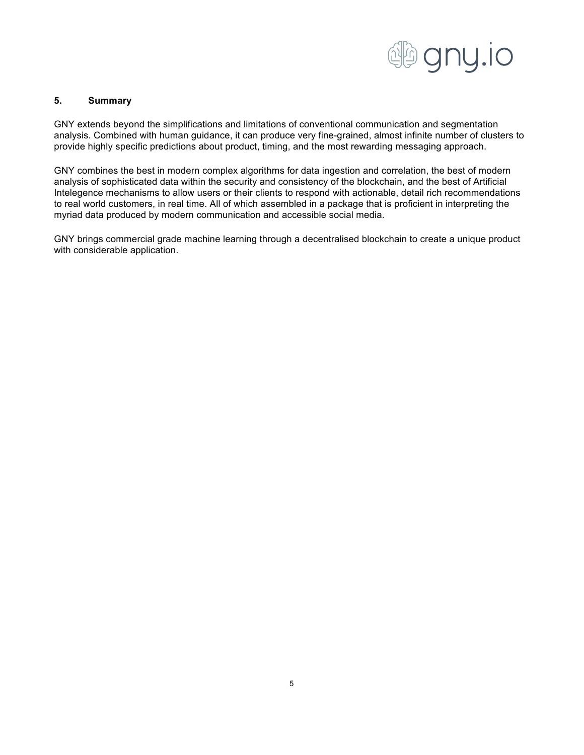

# **5. Summary**

GNY extends beyond the simplifications and limitations of conventional communication and segmentation analysis. Combined with human guidance, it can produce very fine-grained, almost infinite number of clusters to provide highly specific predictions about product, timing, and the most rewarding messaging approach.

GNY combines the best in modern complex algorithms for data ingestion and correlation, the best of modern analysis of sophisticated data within the security and consistency of the blockchain, and the best of Artificial Intelegence mechanisms to allow users or their clients to respond with actionable, detail rich recommendations to real world customers, in real time. All of which assembled in a package that is proficient in interpreting the myriad data produced by modern communication and accessible social media.

GNY brings commercial grade machine learning through a decentralised blockchain to create a unique product with considerable application.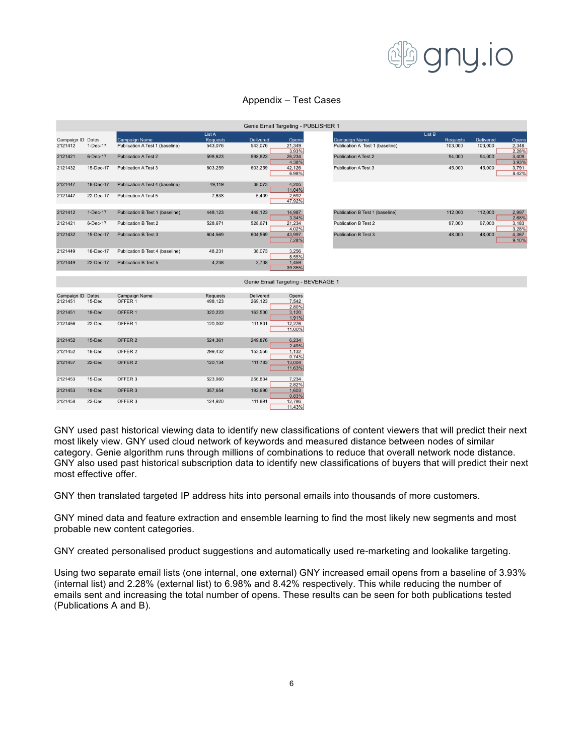

|                   |            |                                 |                           | Genie Email Targeting - PUBLISHER 1 |                  |                                 |                                 |
|-------------------|------------|---------------------------------|---------------------------|-------------------------------------|------------------|---------------------------------|---------------------------------|
| Campaign ID Dates |            | Campaign Name                   | List A<br><b>Requests</b> | <b>Delivered</b>                    | Opens            |                                 | <b>Campaign Name</b>            |
| 2121412           | $1-Dec-17$ | Publication A Test 1 (baseline) | 543,076                   | 543,076                             | 21,349<br>3.93%  |                                 | Publication A Test 1 (baseline) |
| 2121421           | 6-Dec-17   | <b>Publication A Test 2</b>     | 598,623                   | 598,623                             | 26,234<br>4.38%  | <b>Publication A Test 2</b>     |                                 |
| 2121432           | 15-Dec-17  | <b>Publication A Test 3</b>     | 603,259                   | 603,259                             | 42,126<br>6.98%  | <b>Publication A Test 3</b>     |                                 |
| 2121447           | 18-Dec-17  | Publication A Test 4 (baseline) | 49,119                    | 38,073                              | 4.205<br>11.04%  |                                 |                                 |
| 2121447           | 22-Dec-17  | <b>Publication A Test 5</b>     | 7,638                     | 5,409                               | 2,592<br>47.92%  |                                 |                                 |
| 2121412           | $1-Dec-17$ | Publication B Test 1 (baseline) | 448.123                   | 448.123                             | 14.987<br>3.34%  | Publication B Test 1 (baseline) |                                 |
| 2121421           | 6-Dec-17   | <b>Publication B Test 2</b>     | 528,671                   | 528,671                             | 21,234<br>4.02%  | <b>Publication B Test 2</b>     |                                 |
| 2121432           | 15-Dec-17  | <b>Publication B Test 3</b>     | 604,569                   | 604,569                             | 43,997<br>7.28%  | <b>Publication B Test 3</b>     |                                 |
| 2121449           | 18-Dec-17  | Publication B Test 4 (baseline) | 48,231                    | 38,073                              | 3,256<br>8.55%   |                                 |                                 |
| 2121449           | 22-Dec-17  | <b>Publication B Test 5</b>     | 4.238                     | 3,708                               | 1,459<br>39.35%  |                                 |                                 |
|                   |            |                                 |                           | Genie Email Targeting - BEVERAGE 1  |                  |                                 |                                 |
| Campaign ID Dates |            | Campaign Name                   | <b>Requests</b>           | Delivered                           | Opens            |                                 |                                 |
| 2121451           | 15-Dec     | OFFER 1                         | 498,123                   | 269,123                             | 7.542<br>2.80%   |                                 |                                 |
| 2121451           | 18-Dec     | OFFER 1                         | 320,223                   | 163,500                             | 3,120<br>1.91%   |                                 |                                 |
| 2121456           | 22-Dec     | OFFER 1                         | 120,002                   | 111,601                             | 12,276<br>11.00% |                                 |                                 |
| 2121452           | 15-Dec     | OFFER 2                         | 524,361                   | 249,876                             | 6,234<br>2.49%   |                                 |                                 |
| 2121452           | 18-Dec     | OFFER 2                         | 299,432                   | 153,556                             | 1.132<br>0.74%   |                                 |                                 |
| 2121457           | 22-Dec     | OFFER 2                         | 120,134                   | 111,783                             | 13,004<br>11.63% |                                 |                                 |
| 2121453           | 15-Dec     | OFFER 3                         | 523,980                   | 256,834                             | 7.234<br>2.82%   |                                 |                                 |
| 2121453           | 18-Dec     | OFFER 3                         | 357,654                   | 192,690                             | 1,603<br>0.83%   |                                 |                                 |
| 2121458           | 22-Dec     | OFFER 3                         | 124,920                   | 111,891                             | 12,786<br>11.43% |                                 |                                 |

### Appendix – Test Cases

GNY used past historical viewing data to identify new classifications of content viewers that will predict their next most likely view. GNY used cloud network of keywords and measured distance between nodes of similar category. Genie algorithm runs through millions of combinations to reduce that overall network node distance. GNY also used past historical subscription data to identify new classifications of buyers that will predict their next most effective offer.

GNY then translated targeted IP address hits into personal emails into thousands of more customers.

GNY mined data and feature extraction and ensemble learning to find the most likely new segments and most probable new content categories.

GNY created personalised product suggestions and automatically used re-marketing and lookalike targeting.

Using two separate email lists (one internal, one external) GNY increased email opens from a baseline of 3.93% (internal list) and 2.28% (external list) to 6.98% and 8.42% respectively. This while reducing the number of emails sent and increasing the total number of opens. These results can be seen for both publications tested (Publications A and B).